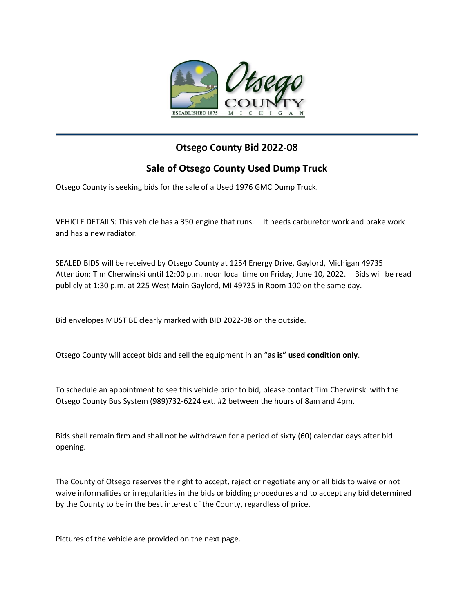

## **Otsego County Bid 2022-08**

## **Sale of Otsego County Used Dump Truck**

Otsego County is seeking bids for the sale of a Used 1976 GMC Dump Truck.

VEHICLE DETAILS: This vehicle has a 350 engine that runs. It needs carburetor work and brake work and has a new radiator.

SEALED BIDS will be received by Otsego County at 1254 Energy Drive, Gaylord, Michigan 49735 Attention: Tim Cherwinski until 12:00 p.m. noon local time on Friday, June 10, 2022. Bids will be read publicly at 1:30 p.m. at 225 West Main Gaylord, MI 49735 in Room 100 on the same day.

Bid envelopes MUST BE clearly marked with BID 2022-08 on the outside.

Otsego County will accept bids and sell the equipment in an "**as is" used condition only**.

To schedule an appointment to see this vehicle prior to bid, please contact Tim Cherwinski with the Otsego County Bus System (989)732-6224 ext. #2 between the hours of 8am and 4pm.

Bids shall remain firm and shall not be withdrawn for a period of sixty (60) calendar days after bid opening.

The County of Otsego reserves the right to accept, reject or negotiate any or all bids to waive or not waive informalities or irregularities in the bids or bidding procedures and to accept any bid determined by the County to be in the best interest of the County, regardless of price.

Pictures of the vehicle are provided on the next page.